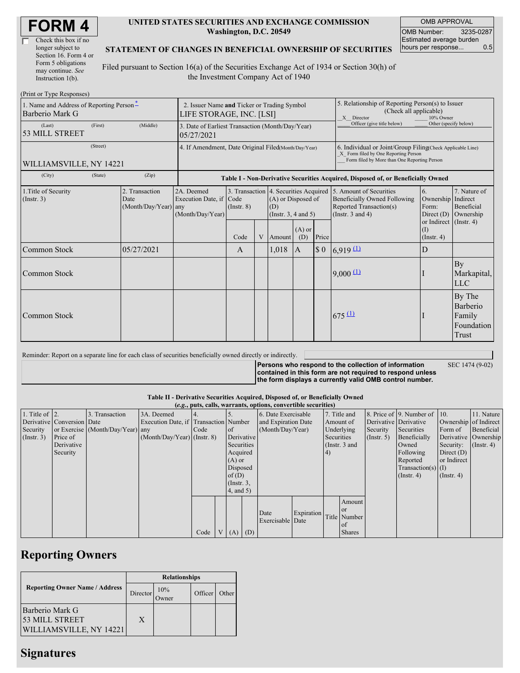| Check this box if no  |  |
|-----------------------|--|
| longer subject to     |  |
| Section 16. Form 4 or |  |
| Form 5 obligations    |  |
| may continue. See     |  |
| Instruction 1(b).     |  |

#### **UNITED STATES SECURITIES AND EXCHANGE COMMISSION Washington, D.C. 20549**

OMB APPROVAL OMB Number: 3235-0287 Estimated average burden hours per response... 0.5

## **STATEMENT OF CHANGES IN BENEFICIAL OWNERSHIP OF SECURITIES**

Filed pursuant to Section 16(a) of the Securities Exchange Act of 1934 or Section 30(h) of the Investment Company Act of 1940

| (Print or Type Responses)                                   |                                                                         |                                                |                                                                                                                       |                         |  |                                                                                                       |                                                                                                                                                    |       |                                                                                                                                                          |                                                                                                                      |                                                     |  |  |  |  |
|-------------------------------------------------------------|-------------------------------------------------------------------------|------------------------------------------------|-----------------------------------------------------------------------------------------------------------------------|-------------------------|--|-------------------------------------------------------------------------------------------------------|----------------------------------------------------------------------------------------------------------------------------------------------------|-------|----------------------------------------------------------------------------------------------------------------------------------------------------------|----------------------------------------------------------------------------------------------------------------------|-----------------------------------------------------|--|--|--|--|
| 1. Name and Address of Reporting Person-<br>Barberio Mark G | 2. Issuer Name and Ticker or Trading Symbol<br>LIFE STORAGE, INC. [LSI] |                                                |                                                                                                                       |                         |  | 5. Relationship of Reporting Person(s) to Issuer<br>(Check all applicable)<br>X Director<br>10% Owner |                                                                                                                                                    |       |                                                                                                                                                          |                                                                                                                      |                                                     |  |  |  |  |
| (Last)<br>53 MILL STREET                                    | (First)                                                                 | (Middle)                                       | Officer (give title below)<br>Other (specify below)<br>3. Date of Earliest Transaction (Month/Day/Year)<br>05/27/2021 |                         |  |                                                                                                       |                                                                                                                                                    |       |                                                                                                                                                          |                                                                                                                      |                                                     |  |  |  |  |
| WILLIAMSVILLE, NY 14221                                     | 4. If Amendment, Date Original Filed(Month/Day/Year)                    |                                                |                                                                                                                       |                         |  |                                                                                                       | 6. Individual or Joint/Group Filing Check Applicable Line)<br>X Form filed by One Reporting Person<br>Form filed by More than One Reporting Person |       |                                                                                                                                                          |                                                                                                                      |                                                     |  |  |  |  |
| (City)                                                      | (State)                                                                 | (Zip)                                          |                                                                                                                       |                         |  |                                                                                                       |                                                                                                                                                    |       |                                                                                                                                                          | Table I - Non-Derivative Securities Acquired, Disposed of, or Beneficially Owned                                     |                                                     |  |  |  |  |
| 1. Title of Security<br>(Insert. 3)                         |                                                                         | 2. Transaction<br>Date<br>(Month/Day/Year) any | 2A. Deemed<br>Execution Date, if Code<br>(Month/Day/Year)                                                             | $($ Instr. $8)$<br>Code |  | (A) or Disposed of<br>(D)<br>(Insert. 3, 4 and 5)<br>V Amount                                         | $(A)$ or<br>(D)                                                                                                                                    | Price | 3. Transaction 4. Securities Acquired 5. Amount of Securities<br><b>Beneficially Owned Following</b><br>Reported Transaction(s)<br>(Instr. $3$ and $4$ ) | $\overline{6}$ .<br>Ownership Indirect<br>Form:<br>Direct $(D)$<br>or Indirect (Instr. 4)<br>(1)<br>$($ Instr. 4 $)$ | 7. Nature of<br>Beneficial<br>Ownership             |  |  |  |  |
| <b>Common Stock</b>                                         |                                                                         | 05/27/2021                                     |                                                                                                                       | A                       |  | 1,018                                                                                                 | A                                                                                                                                                  | \$0   | 6,919(1)                                                                                                                                                 | D                                                                                                                    |                                                     |  |  |  |  |
| <b>Common Stock</b>                                         |                                                                         |                                                |                                                                                                                       |                         |  |                                                                                                       |                                                                                                                                                    |       | 9,000(1)                                                                                                                                                 |                                                                                                                      | By<br>Markapital,<br><b>LLC</b>                     |  |  |  |  |
| Common Stock                                                |                                                                         |                                                |                                                                                                                       |                         |  |                                                                                                       |                                                                                                                                                    |       | $675 \underline{11}$                                                                                                                                     |                                                                                                                      | By The<br>Barberio<br>Family<br>Foundation<br>Trust |  |  |  |  |

Reminder: Report on a separate line for each class of securities beneficially owned directly or indirectly.

**Persons who respond to the collection of information contained in this form are not required to respond unless the form displays a currently valid OMB control number.** SEC 1474 (9-02)

### **Table II - Derivative Securities Acquired, Disposed of, or Beneficially Owned**

|                        | (e.g., puts, calls, warrants, options, convertible securities) |                                  |                                       |      |                |                  |            |                          |            |            |               |                       |                              |                      |                       |
|------------------------|----------------------------------------------------------------|----------------------------------|---------------------------------------|------|----------------|------------------|------------|--------------------------|------------|------------|---------------|-----------------------|------------------------------|----------------------|-----------------------|
| 1. Title of $\vert$ 2. |                                                                | 3. Transaction                   | 3A. Deemed                            |      |                |                  |            | 6. Date Exercisable      |            |            | 7. Title and  |                       | 8. Price of 9. Number of 10. |                      | 11. Nature            |
|                        | Derivative Conversion Date                                     |                                  | Execution Date, if Transaction Number |      |                |                  |            | and Expiration Date      |            | Amount of  |               | Derivative Derivative |                              |                      | Ownership of Indirect |
| Security               |                                                                | or Exercise (Month/Day/Year) any |                                       | Code |                | <sub>of</sub>    |            | (Month/Day/Year)         |            | Underlying |               | Security              | Securities                   | Form of              | Beneficial            |
| $($ Instr. 3 $)$       | Price of                                                       |                                  | $(Month/Day/Year)$ (Instr. 8)         |      |                |                  | Derivative |                          | Securities |            | $($ Instr. 5) | Beneficially          |                              | Derivative Ownership |                       |
|                        | Derivative                                                     |                                  |                                       |      |                | Securities       |            |                          |            |            | (Instr. 3 and |                       | Owned                        | Security:            | $($ Instr. 4)         |
|                        | Security                                                       |                                  |                                       |      |                | Acquired         |            |                          |            | (4)        |               |                       | Following                    | Direct $(D)$         |                       |
|                        |                                                                |                                  |                                       |      |                | $(A)$ or         |            |                          |            |            |               |                       | Reported                     | or Indirect          |                       |
|                        |                                                                |                                  |                                       |      |                | Disposed         |            |                          |            |            |               |                       | $Transaction(s)$ (I)         |                      |                       |
|                        |                                                                |                                  |                                       |      |                | of(D)            |            |                          |            |            |               |                       | $($ Instr. 4 $)$             | $($ Instr. 4 $)$     |                       |
|                        |                                                                |                                  |                                       |      |                | $($ Instr. $3$ , |            |                          |            |            |               |                       |                              |                      |                       |
|                        |                                                                |                                  |                                       |      |                | 4, and 5)        |            |                          |            |            |               |                       |                              |                      |                       |
|                        |                                                                |                                  |                                       |      |                |                  |            |                          |            |            | Amount        |                       |                              |                      |                       |
|                        |                                                                |                                  |                                       |      |                |                  |            |                          |            |            | <sub>or</sub> |                       |                              |                      |                       |
|                        |                                                                |                                  |                                       |      |                |                  |            | Date<br>Exercisable Date | Expiration |            | Title Number  |                       |                              |                      |                       |
|                        |                                                                |                                  |                                       |      |                |                  |            |                          |            |            | of            |                       |                              |                      |                       |
|                        |                                                                |                                  |                                       | Code | V <sub>1</sub> | $(A)$ $(D)$      |            |                          |            |            | <b>Shares</b> |                       |                              |                      |                       |

# **Reporting Owners**

|                                                                     | <b>Relationships</b> |     |         |       |  |  |  |  |
|---------------------------------------------------------------------|----------------------|-----|---------|-------|--|--|--|--|
| <b>Reporting Owner Name / Address</b>                               | Director             | 10% | Officer | Other |  |  |  |  |
| Barberio Mark G<br>53 MILL STREET<br><b>WILLIAMSVILLE, NY 14221</b> | X                    |     |         |       |  |  |  |  |

# **Signatures**